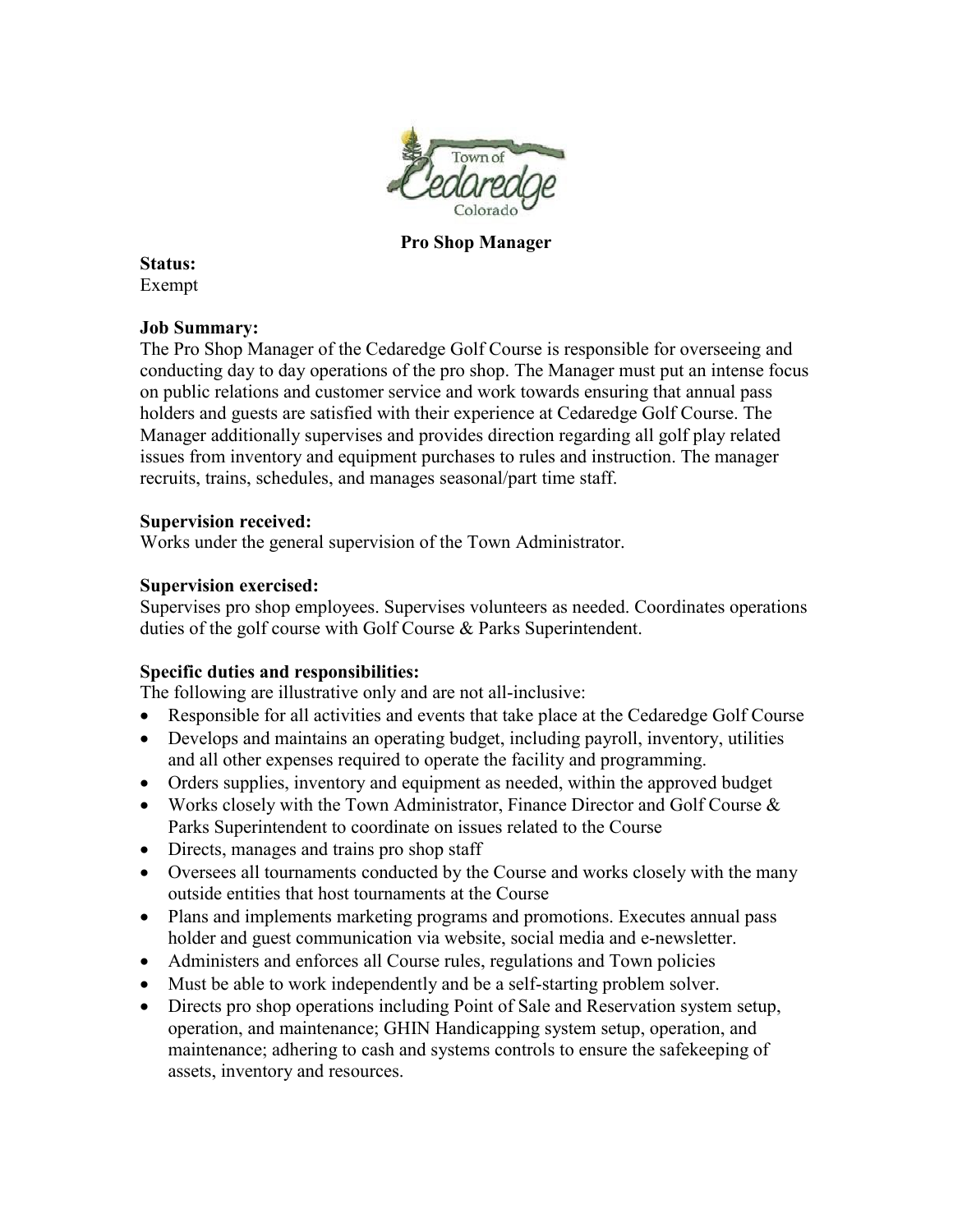

**Pro Shop Manager**

**Status:** Exempt

## **Job Summary:**

The Pro Shop Manager of the Cedaredge Golf Course is responsible for overseeing and conducting day to day operations of the pro shop. The Manager must put an intense focus on public relations and customer service and work towards ensuring that annual pass holders and guests are satisfied with their experience at Cedaredge Golf Course. The Manager additionally supervises and provides direction regarding all golf play related issues from inventory and equipment purchases to rules and instruction. The manager recruits, trains, schedules, and manages seasonal/part time staff.

## **Supervision received:**

Works under the general supervision of the Town Administrator.

## **Supervision exercised:**

Supervises pro shop employees. Supervises volunteers as needed. Coordinates operations duties of the golf course with Golf Course & Parks Superintendent.

## **Specific duties and responsibilities:**

The following are illustrative only and are not all-inclusive:

- Responsible for all activities and events that take place at the Cedaredge Golf Course
- Develops and maintains an operating budget, including payroll, inventory, utilities and all other expenses required to operate the facility and programming.
- Orders supplies, inventory and equipment as needed, within the approved budget
- Works closely with the Town Administrator, Finance Director and Golf Course & Parks Superintendent to coordinate on issues related to the Course
- Directs, manages and trains pro shop staff
- Oversees all tournaments conducted by the Course and works closely with the many outside entities that host tournaments at the Course
- Plans and implements marketing programs and promotions. Executes annual pass holder and guest communication via website, social media and e-newsletter.
- Administers and enforces all Course rules, regulations and Town policies
- Must be able to work independently and be a self-starting problem solver.
- Directs pro shop operations including Point of Sale and Reservation system setup, operation, and maintenance; GHIN Handicapping system setup, operation, and maintenance; adhering to cash and systems controls to ensure the safekeeping of assets, inventory and resources.